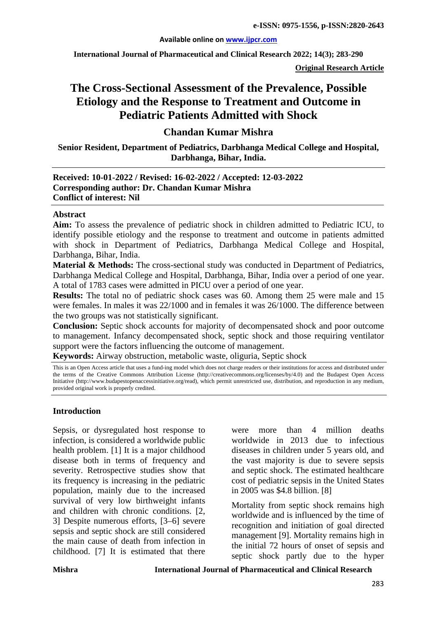#### **Available online on [www.ijpcr.com](http://www.ijpcr.com/)**

**International Journal of Pharmaceutical and Clinical Research 2022; 14(3); 283-290**

**Original Research Article**

# **The Cross-Sectional Assessment of the Prevalence, Possible Etiology and the Response to Treatment and Outcome in Pediatric Patients Admitted with Shock**

# **Chandan Kumar Mishra**

**Senior Resident, Department of Pediatrics, Darbhanga Medical College and Hospital, Darbhanga, Bihar, India.**

#### **Received: 10-01-2022 / Revised: 16-02-2022 / Accepted: 12-03-2022 Corresponding author: Dr. Chandan Kumar Mishra Conflict of interest: Nil**

#### **Abstract**

**Aim:** To assess the prevalence of pediatric shock in children admitted to Pediatric ICU, to identify possible etiology and the response to treatment and outcome in patients admitted with shock in Department of Pediatrics, Darbhanga Medical College and Hospital, Darbhanga, Bihar, India.

**Material & Methods:** The cross-sectional study was conducted in Department of Pediatrics, Darbhanga Medical College and Hospital, Darbhanga, Bihar, India over a period of one year. A total of 1783 cases were admitted in PICU over a period of one year.

**Results:** The total no of pediatric shock cases was 60. Among them 25 were male and 15 were females. In males it was 22/1000 and in females it was 26/1000. The difference between the two groups was not statistically significant.

**Conclusion:** Septic shock accounts for majority of decompensated shock and poor outcome to management. Infancy decompensated shock, septic shock and those requiring ventilator support were the factors influencing the outcome of management.

**Keywords:** Airway obstruction, metabolic waste, oliguria, Septic shock

This is an Open Access article that uses a fund-ing model which does not charge readers or their institutions for access and distributed under the terms of the Creative Commons Attribution License (http://creativecommons.org/licenses/by/4.0) and the Budapest Open Access Initiative (http://www.budapestopenaccessinitiative.org/read), which permit unrestricted use, distribution, and reproduction in any medium, provided original work is properly credited.

#### **Introduction**

Sepsis, or dysregulated host response to infection, is considered a worldwide public health problem. [1] It is a major childhood disease both in terms of frequency and severity. Retrospective studies show that its frequency is increasing in the pediatric population, mainly due to the increased survival of very low birthweight infants and children with chronic conditions. [2, 3] Despite numerous efforts, [3–6] severe sepsis and septic shock are still considered the main cause of death from infection in childhood. [7] It is estimated that there

were more than 4 million deaths worldwide in 2013 due to infectious diseases in children under 5 years old, and the vast majority is due to severe sepsis and septic shock. The estimated healthcare cost of pediatric sepsis in the United States in 2005 was \$4.8 billion. [8]

Mortality from septic shock remains high worldwide and is influenced by the time of recognition and initiation of goal directed management [9]. Mortality remains high in the initial 72 hours of onset of sepsis and septic shock partly due to the hyper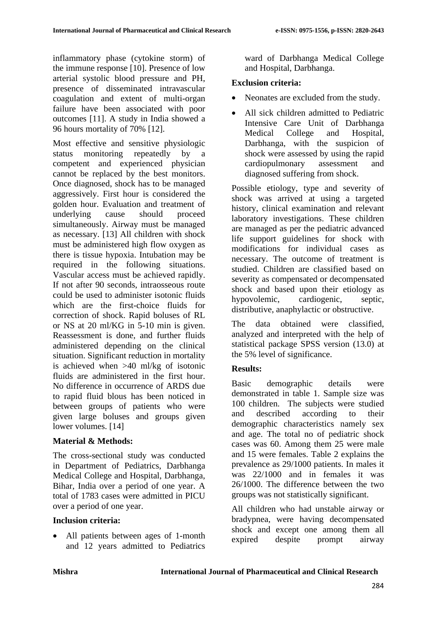inflammatory phase (cytokine storm) of the immune response [10]. Presence of low arterial systolic blood pressure and PH, presence of disseminated intravascular coagulation and extent of multi-organ failure have been associated with poor outcomes [11]. A study in India showed a 96 hours mortality of 70% [12].

Most effective and sensitive physiologic status monitoring repeatedly by a competent and experienced physician cannot be replaced by the best monitors. Once diagnosed, shock has to be managed aggressively. First hour is considered the golden hour. Evaluation and treatment of underlying cause should proceed simultaneously. Airway must be managed as necessary. [13] All children with shock must be administered high flow oxygen as there is tissue hypoxia. Intubation may be required in the following situations. Vascular access must be achieved rapidly. If not after 90 seconds, intraosseous route could be used to administer isotonic fluids which are the first-choice fluids for correction of shock. Rapid boluses of RL or NS at 20 ml/KG in 5-10 min is given. Reassessment is done, and further fluids administered depending on the clinical situation. Significant reduction in mortality is achieved when >40 ml/kg of isotonic fluids are administered in the first hour. No difference in occurrence of ARDS due to rapid fluid blous has been noticed in between groups of patients who were given large boluses and groups given lower volumes. [14]

# **Material & Methods:**

The cross-sectional study was conducted in Department of Pediatrics, Darbhanga Medical College and Hospital, Darbhanga, Bihar, India over a period of one year. A total of 1783 cases were admitted in PICU over a period of one year.

# **Inclusion criteria:**

• All patients between ages of 1-month and 12 years admitted to Pediatrics ward of Darbhanga Medical College and Hospital, Darbhanga.

# **Exclusion criteria:**

- Neonates are excluded from the study.
- All sick children admitted to Pediatric Intensive Care Unit of Darbhanga Medical College and Hospital, Darbhanga, with the suspicion of shock were assessed by using the rapid cardiopulmonary assessment and diagnosed suffering from shock.

Possible etiology, type and severity of shock was arrived at using a targeted history, clinical examination and relevant laboratory investigations. These children are managed as per the pediatric advanced life support guidelines for shock with modifications for individual cases as necessary. The outcome of treatment is studied. Children are classified based on severity as compensated or decompensated shock and based upon their etiology as hypovolemic, cardiogenic, septic, distributive, anaphylactic or obstructive.

The data obtained were classified, analyzed and interpreted with the help of statistical package SPSS version (13.0) at the 5% level of significance.

# **Results:**

Basic demographic details were demonstrated in table 1. Sample size was 100 children. The subjects were studied and described according to their demographic characteristics namely sex and age. The total no of pediatric shock cases was 60. Among them 25 were male and 15 were females. Table 2 explains the prevalence as 29/1000 patients. In males it was 22/1000 and in females it was 26/1000. The difference between the two groups was not statistically significant.

All children who had unstable airway or bradypnea, were having decompensated shock and except one among them all expired despite prompt airway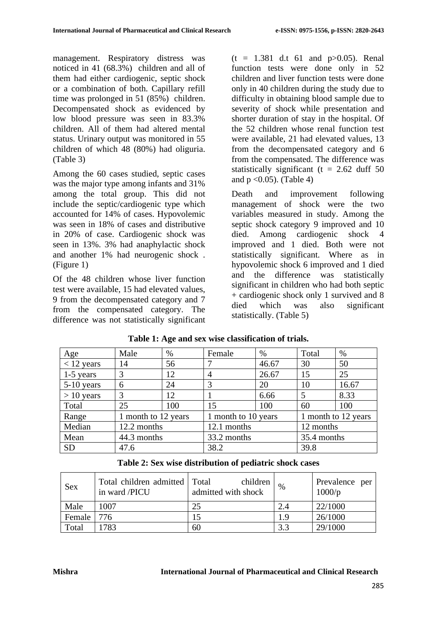management. Respiratory distress was noticed in 41 (68.3%) children and all of them had either cardiogenic, septic shock or a combination of both. Capillary refill time was prolonged in 51 (85%) children. Decompensated shock as evidenced by low blood pressure was seen in 83.3% children. All of them had altered mental status. Urinary output was monitored in 55 children of which 48 (80%) had oliguria. (Table 3)

Among the 60 cases studied, septic cases was the major type among infants and 31% among the total group. This did not include the septic/cardiogenic type which accounted for 14% of cases. Hypovolemic was seen in 18% of cases and distributive in 20% of case. Cardiogenic shock was seen in 13%. 3% had anaphylactic shock and another 1% had neurogenic shock . (Figure 1)

Of the 48 children whose liver function test were available, 15 had elevated values, 9 from the decompensated category and 7 from the compensated category. The difference was not statistically significant  $(t = 1.381$  d.t 61 and p $>0.05$ ). Renal function tests were done only in 52 children and liver function tests were done only in 40 children during the study due to difficulty in obtaining blood sample due to severity of shock while presentation and shorter duration of stay in the hospital. Of the 52 children whose renal function test were available, 21 had elevated values, 13 from the decompensated category and 6 from the compensated. The difference was statistically significant ( $t = 2.62$  duff 50 and  $p < 0.05$ ). (Table 4)

Death and improvement following management of shock were the two variables measured in study. Among the septic shock category 9 improved and 10 died. Among cardiogenic shock 4 improved and 1 died. Both were not statistically significant. Where as in hypovolemic shock 6 improved and 1 died and the difference was statistically significant in children who had both septic + cardiogenic shock only 1 survived and 8 died which was also significant statistically. (Table 5)

| Age          | Male                | %   | Female              | $\%$  | Total               | $\%$  |
|--------------|---------------------|-----|---------------------|-------|---------------------|-------|
| $<$ 12 years | 14                  | 56  |                     | 46.67 | 30                  | 50    |
| $1-5$ years  | 3                   | 12  | 4                   | 26.67 | 15                  | 25    |
| $5-10$ years | 6                   | 24  |                     | 20    | 10                  | 16.67 |
| $> 10$ years | 3                   | 12  |                     | 6.66  |                     | 8.33  |
| Total        | 25                  | 100 | 15                  | 100   | 60                  | 100   |
| Range        | 1 month to 12 years |     | 1 month to 10 years |       | 1 month to 12 years |       |
| Median       | 12.2 months         |     | 12.1 months         |       | 12 months           |       |
| Mean         | 44.3 months         |     | 33.2 months         |       | 35.4 months         |       |
| <b>SD</b>    | 47.6                |     | 38.2                |       | 39.8                |       |

#### **Table 1: Age and sex wise classification of trials.**

**Table 2: Sex wise distribution of pediatric shock cases**

| <b>Sex</b> | Total children admitted Total<br>in ward /PICU | children<br>admitted with shock | %   | Prevalence per<br>1000/p |
|------------|------------------------------------------------|---------------------------------|-----|--------------------------|
| Male       | 1007                                           | 25                              | 2.4 | 22/1000                  |
| Female 776 |                                                |                                 | 1.9 | 26/1000                  |
| Total      | 783                                            | 60                              | 3.3 | 29/1000                  |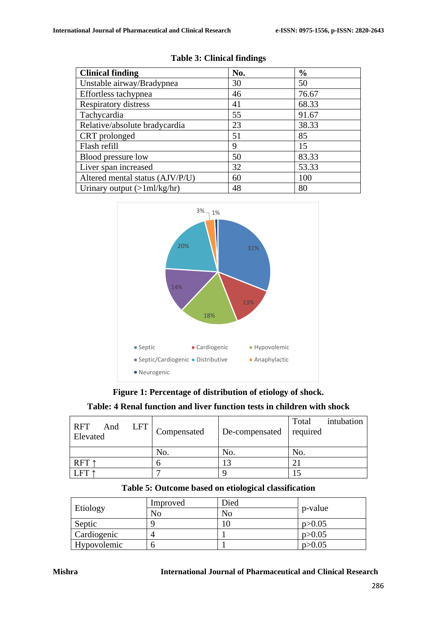| <b>Clinical finding</b>                       | No. | $\frac{6}{6}$ |
|-----------------------------------------------|-----|---------------|
| Unstable airway/Bradypnea                     | 30  | 50            |
| Effortless tachypnea                          | 46  | 76.67         |
| Respiratory distress                          | 41  | 68.33         |
| Tachycardia                                   | 55  | 91.67         |
| Relative/absolute bradycardia                 | 23  | 38.33         |
| CRT prolonged                                 | 51  | 85            |
| Flash refill                                  | 9   | 15            |
| Blood pressure low                            | 50  | 83.33         |
| Liver span increased                          | 32  | 53.33         |
| Altered mental status (AJV/P/U)               | 60  | 100           |
| Urinary output $(>\frac{1}{\text{ml/kg/hr}})$ | 48  | 80            |

**Table 3: Clinical findings**



**Figure 1: Percentage of distribution of etiology of shock.**

| Table: 4 Renal function and liver function tests in children with shock |  |  |  |
|-------------------------------------------------------------------------|--|--|--|
|-------------------------------------------------------------------------|--|--|--|

| RFT<br>LFT<br>And<br>Elevated | Compensated | De-compensated | intubation<br>Total<br>required |
|-------------------------------|-------------|----------------|---------------------------------|
|                               | No.         | No.            | No.                             |
| RFT ↑                         |             | $\bigcap$      |                                 |
|                               |             |                |                                 |

| Etiology    | Improved | Died           |          |
|-------------|----------|----------------|----------|
|             | No       | N <sub>0</sub> | p-value  |
| Septic      |          |                | p > 0.05 |
| Cardiogenic | 4        |                | p > 0.05 |
| Hypovolemic |          |                | p > 0.05 |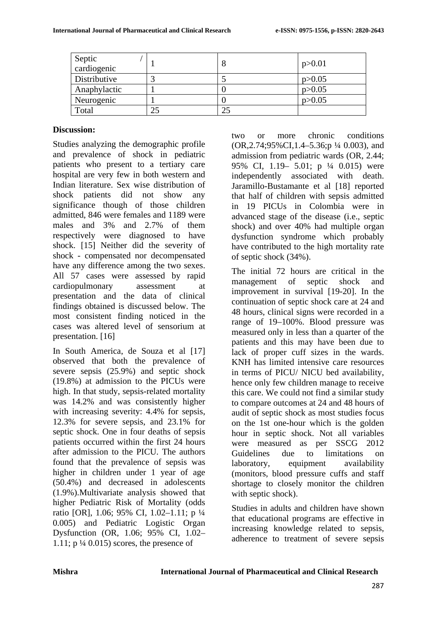| Septic<br>cardiogenic | Õ | p > 0.01 |
|-----------------------|---|----------|
| Distributive          |   | p > 0.05 |
| Anaphylactic          |   | p > 0.05 |
| Neurogenic            |   | p > 0.05 |
| Total                 |   |          |

#### **Discussion:**

Studies analyzing the demographic profile and prevalence of shock in pediatric patients who present to a tertiary care hospital are very few in both western and Indian literature. Sex wise distribution of shock patients did not show any significance though of those children admitted, 846 were females and 1189 were males and 3% and 2.7% of them respectively were diagnosed to have shock. [15] Neither did the severity of shock - compensated nor decompensated have any difference among the two sexes. All 57 cases were assessed by rapid cardiopulmonary assessment at presentation and the data of clinical findings obtained is discussed below. The most consistent finding noticed in the cases was altered level of sensorium at presentation. [16]

In South America, de Souza et al [17] observed that both the prevalence of severe sepsis (25.9%) and septic shock (19.8%) at admission to the PICUs were high. In that study, sepsis-related mortality was 14.2% and was consistently higher with increasing severity:  $4.4\%$  for sepsis, 12.3% for severe sepsis, and 23.1% for septic shock. One in four deaths of sepsis patients occurred within the first 24 hours after admission to the PICU. The authors found that the prevalence of sepsis was higher in children under 1 year of age (50.4%) and decreased in adolescents (1.9%).Multivariate analysis showed that higher Pediatric Risk of Mortality (odds ratio [OR], 1.06; 95% CI, 1.02–1.11; p ¼ 0.005) and Pediatric Logistic Organ Dysfunction (OR, 1.06; 95% CI, 1.02– 1.11;  $p\frac{1}{4}$  0.015) scores, the presence of

two or more chronic conditions (OR,2.74;95%CI,1.4–5.36;p ¼ 0.003), and admission from pediatric wards (OR, 2.44; 95% CI, 1.19– 5.01; p ¼ 0.015) were independently associated with death. Jaramillo-Bustamante et al [18] reported that half of children with sepsis admitted in 19 PICUs in Colombia were in advanced stage of the disease (i.e., septic shock) and over 40% had multiple organ dysfunction syndrome which probably have contributed to the high mortality rate of septic shock (34%).

The initial 72 hours are critical in the management of septic shock and improvement in survival [19-20]. In the continuation of septic shock care at 24 and 48 hours, clinical signs were recorded in a range of 19–100%. Blood pressure was measured only in less than a quarter of the patients and this may have been due to lack of proper cuff sizes in the wards. KNH has limited intensive care resources in terms of PICU/ NICU bed availability, hence only few children manage to receive this care. We could not find a similar study to compare outcomes at 24 and 48 hours of audit of septic shock as most studies focus on the 1st one-hour which is the golden hour in septic shock. Not all variables were measured as per SSCG 2012 Guidelines due to limitations on laboratory, equipment availability (monitors, blood pressure cuffs and staff shortage to closely monitor the children with septic shock).

Studies in adults and children have shown that educational programs are effective in increasing knowledge related to sepsis, adherence to treatment of severe sepsis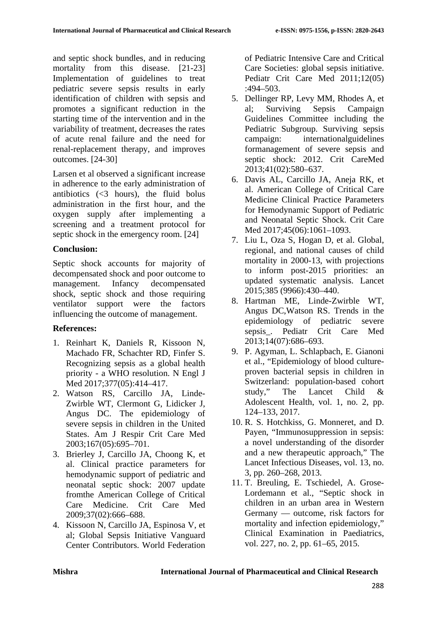and septic shock bundles, and in reducing mortality from this disease. [21-23] Implementation of guidelines to treat pediatric severe sepsis results in early identification of children with sepsis and promotes a significant reduction in the starting time of the intervention and in the variability of treatment, decreases the rates of acute renal failure and the need for renal-replacement therapy, and improves outcomes. [24-30]

Larsen et al observed a significant increase in adherence to the early administration of antibiotics  $\left( \leq 3 \right)$  hours), the fluid bolus administration in the first hour, and the oxygen supply after implementing a screening and a treatment protocol for septic shock in the emergency room. [24]

# **Conclusion:**

Septic shock accounts for majority of decompensated shock and poor outcome to management. Infancy decompensated shock, septic shock and those requiring ventilator support were the factors influencing the outcome of management.

# **References:**

- 1. Reinhart K, Daniels R, Kissoon N, Machado FR, Schachter RD, Finfer S. Recognizing sepsis as a global health priority - a WHO resolution. N Engl J Med 2017;377(05):414-417.
- 2. Watson RS, Carcillo JA, Linde-Zwirble WT, Clermont G, Lidicker J, Angus DC. The epidemiology of severe sepsis in children in the United States. Am J Respir Crit Care Med 2003;167(05):695–701.
- 3. Brierley J, Carcillo JA, Choong K, et al. Clinical practice parameters for hemodynamic support of pediatric and neonatal septic shock: 2007 update fromthe American College of Critical Care Medicine. Crit Care Med 2009;37(02):666–688.
- 4. Kissoon N, Carcillo JA, Espinosa V, et al; Global Sepsis Initiative Vanguard Center Contributors. World Federation

of Pediatric Intensive Care and Critical Care Societies: global sepsis initiative. Pediatr Crit Care Med 2011;12(05)  $:494 - 503.$ 

- 5. Dellinger RP, Levy MM, Rhodes A, et al; Surviving Sepsis Campaign Guidelines Committee including the Pediatric Subgroup. Surviving sepsis campaign: internationalguidelines formanagement of severe sepsis and septic shock: 2012. Crit CareMed 2013;41(02):580–637.
- 6. Davis AL, Carcillo JA, Aneja RK, et al. American College of Critical Care Medicine Clinical Practice Parameters for Hemodynamic Support of Pediatric and Neonatal Septic Shock. Crit Care Med 2017:45(06):1061-1093.
- 7. Liu L, Oza S, Hogan D, et al. Global, regional, and national causes of child mortality in 2000-13, with projections to inform post-2015 priorities: an updated systematic analysis. Lancet 2015;385 (9966):430–440.
- 8. Hartman ME, Linde-Zwirble WT, Angus DC,Watson RS. Trends in the epidemiology of pediatric severe sepsis\_. Pediatr Crit Care Med 2013;14(07):686–693.
- 9. P. Agyman, L. Schlapbach, E. Gianoni et al., "Epidemiology of blood cultureproven bacterial sepsis in children in Switzerland: population-based cohort study," The Lancet Child & Adolescent Health, vol. 1, no. 2, pp. 124–133, 2017.
- 10. R. S. Hotchkiss, G. Monneret, and D. Payen, "Immunosuppression in sepsis: a novel understanding of the disorder and a new therapeutic approach," The Lancet Infectious Diseases, vol. 13, no. 3, pp. 260–268, 2013.
- 11. T. Breuling, E. Tschiedel, A. Grose-Lordemann et al., "Septic shock in children in an urban area in Western Germany — outcome, risk factors for mortality and infection epidemiology," Clinical Examination in Paediatrics, vol. 227, no. 2, pp. 61–65, 2015.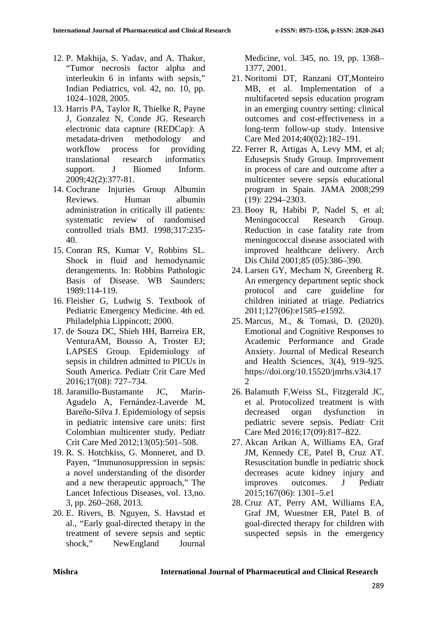- 12. P. Makhija, S. Yadav, and A. Thakur, "Tumor necrosis factor alpha and interleukin 6 in infants with sepsis," Indian Pediatrics, vol. 42, no. 10, pp. 1024–1028, 2005.
- 13. Harris PA, Taylor R, Thielke R, Payne J, Gonzalez N, Conde JG. Research electronic data capture (REDCap): A metadata-driven methodology and workflow process for providing translational research informatics support. J Biomed Inform. 2009;42(2):377-81.
- 14. Cochrane Injuries Group Albumin Reviews. Human albumin administration in critically ill patients: systematic review of randomised controlled trials BMJ. 1998;317:235- 40.
- 15. Conran RS, Kumar V, Robbins SL. Shock in fluid and hemodynamic derangements. In: Robbins Pathologic Basis of Disease. WB Saunders; 1989:114-119.
- 16. Fleisher G, Ludwig S. Textbook of Pediatric Emergency Medicine. 4th ed. Philadelphia Lippincott; 2000.
- 17. de Souza DC, Shieh HH, Barreira ER, VenturaAM, Bousso A, Troster EJ; LAPSES Group. Epidemiology of sepsis in children admitted to PICUs in South America. Pediatr Crit Care Med 2016;17(08): 727–734.
- 18. Jaramillo-Bustamante JC, Marín-Agudelo A, Fernández-Laverde M, Bareño-Silva J. Epidemiology of sepsis in pediatric intensive care units: first Colombian multicenter study. Pediatr Crit Care Med 2012;13(05):501–508.
- 19. R. S. Hotchkiss, G. Monneret, and D. Payen, "Immunosuppression in sepsis: a novel understanding of the disorder and a new therapeutic approach," The Lancet Infectious Diseases, vol. 13,no. 3, pp. 260–268, 2013.
- 20. E. Rivers, B. Nguyen, S. Havstad et al., "Early goal-directed therapy in the treatment of severe sepsis and septic shock," NewEngland Journal

Medicine, vol. 345, no. 19, pp. 1368– 1377, 2001.

- 21. Noritomi DT, Ranzani OT,Monteiro MB, et al. Implementation of a multifaceted sepsis education program in an emerging country setting: clinical outcomes and cost-effectiveness in a long-term follow-up study. Intensive Care Med 2014;40(02):182–191.
- 22. Ferrer R, Artigas A, Levy MM, et al; Edusepsis Study Group. Improvement in process of care and outcome after a multicenter severe sepsis educational program in Spain. JAMA 2008;299 (19): 2294–2303.
- 23. Booy R, Habibi P, Nadel S, et al; Meningococcal Research Group. Reduction in case fatality rate from meningococcal disease associated with improved healthcare delivery. Arch Dis Child 2001;85 (05):386–390.
- 24. Larsen GY, Mecham N, Greenberg R. An emergency department septic shock protocol and care guideline for children initiated at triage. Pediatrics 2011;127(06):e1585–e1592.
- 25. Marcus, M., & Tomasi, D. (2020). Emotional and Cognitive Responses to Academic Performance and Grade Anxiety. Journal of Medical Research and Health Sciences, 3(4), 919–925. https://doi.org/10.15520/jmrhs.v3i4.17 2
- 26. Balamuth F,Weiss SL, Fitzgerald JC, et al. Protocolized treatment is with decreased organ dysfunction in pediatric severe sepsis. Pediatr Crit Care Med 2016;17(09):817–822.
- 27. Akcan Arikan A, Williams EA, Graf JM, Kennedy CE, Patel B, Cruz AT. Resuscitation bundle in pediatric shock decreases acute kidney injury and improves outcomes. J Pediatr 2015;167(06): 1301–5.e1
- 28. Cruz AT, Perry AM, Williams EA, Graf JM, Wuestner ER, Patel B. of goal-directed therapy for children with suspected sepsis in the emergency